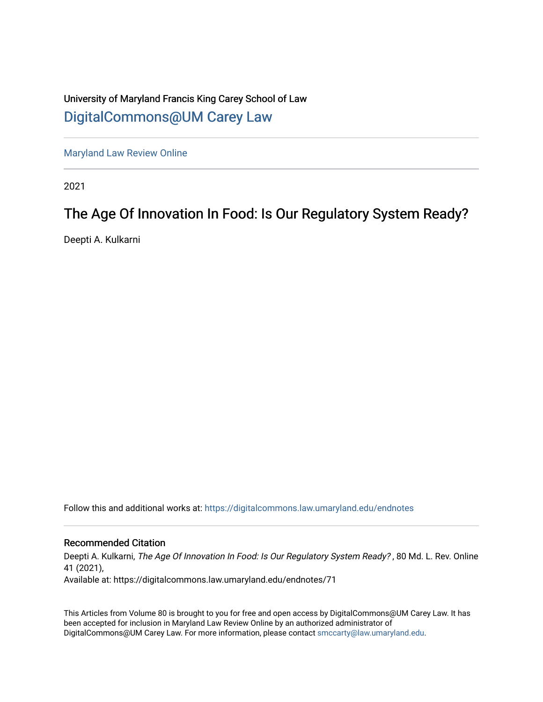# University of Maryland Francis King Carey School of Law [DigitalCommons@UM Carey Law](https://digitalcommons.law.umaryland.edu/)

[Maryland Law Review Online](https://digitalcommons.law.umaryland.edu/endnotes)

2021

# The Age Of Innovation In Food: Is Our Regulatory System Ready?

Deepti A. Kulkarni

Follow this and additional works at: [https://digitalcommons.law.umaryland.edu/endnotes](https://digitalcommons.law.umaryland.edu/endnotes?utm_source=digitalcommons.law.umaryland.edu%2Fendnotes%2F71&utm_medium=PDF&utm_campaign=PDFCoverPages) 

## Recommended Citation

Deepti A. Kulkarni, The Age Of Innovation In Food: Is Our Regulatory System Ready? , 80 Md. L. Rev. Online 41 (2021),

Available at: https://digitalcommons.law.umaryland.edu/endnotes/71

This Articles from Volume 80 is brought to you for free and open access by DigitalCommons@UM Carey Law. It has been accepted for inclusion in Maryland Law Review Online by an authorized administrator of DigitalCommons@UM Carey Law. For more information, please contact [smccarty@law.umaryland.edu.](mailto:smccarty@law.umaryland.edu)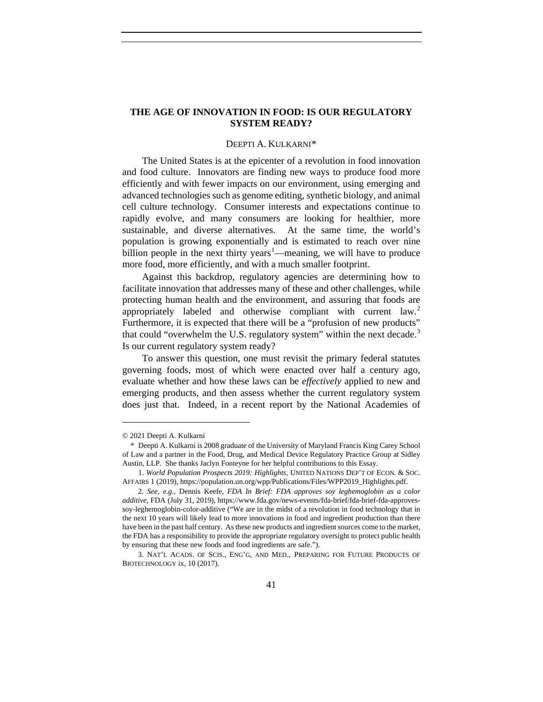### **THE AGE OF INNOVATION IN FOOD: IS OUR REGULATORY SYSTEM READY?**

#### <span id="page-1-4"></span>DEEPTI A. KULKARNI[\\*](#page-1-0)

The United States is at the epicenter of a revolution in food innovation and food culture. Innovators are finding new ways to produce food more efficiently and with fewer impacts on our environment, using emerging and advanced technologies such as genome editing, synthetic biology, and animal cell culture technology. Consumer interests and expectations continue to rapidly evolve, and many consumers are looking for healthier, more sustainable, and diverse alternatives. At the same time, the world's population is growing exponentially and is estimated to reach over nine billion people in the next thirty years<sup>[1](#page-1-1)</sup>—meaning, we will have to produce more food, more efficiently, and with a much smaller footprint.

Against this backdrop, regulatory agencies are determining how to facilitate innovation that addresses many of these and other challenges, while protecting human health and the environment, and assuring that foods are appropriately labeled and otherwise compliant with current law.<sup>[2](#page-1-2)</sup> Furthermore, it is expected that there will be a "profusion of new products" that could "overwhelm the U.S. regulatory system" within the next decade.<sup>[3](#page-1-3)</sup> Is our current regulatory system ready?

To answer this question, one must revisit the primary federal statutes governing foods, most of which were enacted over half a century ago, evaluate whether and how these laws can be *effectively* applied to new and emerging products, and then assess whether the current regulatory system does just that. Indeed, in a recent report by the National Academies of

<span id="page-1-0"></span><sup>© 2021</sup> Deepti A. Kulkarni

<span id="page-1-1"></span>\* Deepti A. Kulkarni is 2008 graduate of the University of Maryland Francis King Carey School of Law and a partner in the Food, Drug, and Medical Device Regulatory Practice Group at Sidley Austin, LLP. She thanks Jaclyn Fonteyne for her helpful contributions to this Essay.

<sup>1.</sup> *World Population Prospects 2019: Highlights*, UNITED NATIONS DEP'T OF ECON. & SOC. AFFAIRS 1 (2019), https://population.un.org/wpp/Publications/Files/WPP2019\_Highlights.pdf.

<span id="page-1-2"></span><sup>2</sup>*. See, e.g.,* Dennis Keefe, *FDA In Brief: FDA approves soy leghemoglobin as a color additive*, FDA (July 31, 2019), https://www.fda.gov/news-events/fda-brief/fda-brief-fda-approvessoy-leghemoglobin-color-additive ("We are in the midst of a revolution in food technology that in the next 10 years will likely lead to more innovations in food and ingredient production than there have been in the past half century. As these new products and ingredient sources come to the market, the FDA has a responsibility to provide the appropriate regulatory oversight to protect public health by ensuring that these new foods and food ingredients are safe.").

<span id="page-1-3"></span><sup>3.</sup> NAT'L ACADS. OF SCIS., ENG'G, AND MED., PREPARING FOR FUTURE PRODUCTS OF BIOTECHNOLOGY ix, 10 (2017).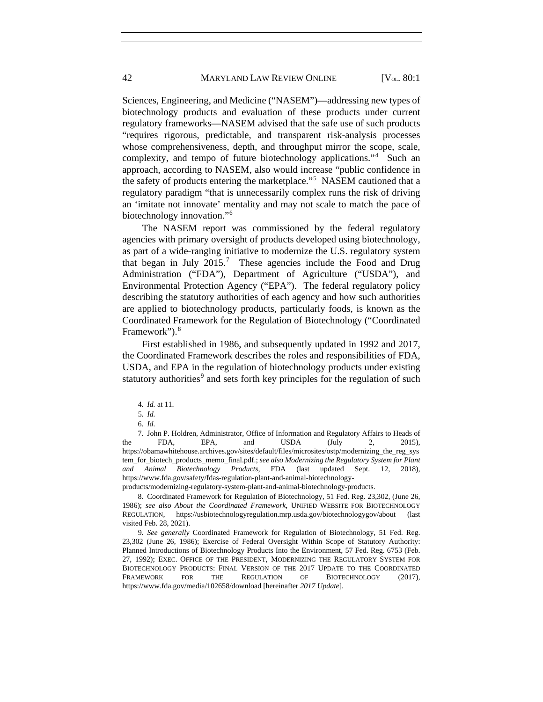Sciences, Engineering, and Medicine ("NASEM")—addressing new types of biotechnology products and evaluation of these products under current regulatory frameworks—NASEM advised that the safe use of such products "requires rigorous, predictable, and transparent risk-analysis processes whose comprehensiveness, depth, and throughput mirror the scope, scale, complexity, and tempo of future biotechnology applications."<sup>[4](#page-2-0)</sup> Such an approach, according to NASEM, also would increase "public confidence in the safety of products entering the marketplace."<sup>[5](#page-2-1)</sup> NASEM cautioned that a regulatory paradigm "that is unnecessarily complex runs the risk of driving an 'imitate not innovate' mentality and may not scale to match the pace of biotechnology innovation."<sup>[6](#page-2-2)</sup>

<span id="page-2-7"></span>The NASEM report was commissioned by the federal regulatory agencies with primary oversight of products developed using biotechnology, as part of a wide-ranging initiative to modernize the U.S. regulatory system that began in July  $2015$ .<sup>[7](#page-2-3)</sup> These agencies include the Food and Drug Administration ("FDA"), Department of Agriculture ("USDA"), and Environmental Protection Agency ("EPA"). The federal regulatory policy describing the statutory authorities of each agency and how such authorities are applied to biotechnology products, particularly foods, is known as the Coordinated Framework for the Regulation of Biotechnology ("Coordinated Framework").<sup>[8](#page-2-4)</sup>

First established in 1986, and subsequently updated in 1992 and 2017, the Coordinated Framework describes the roles and responsibilities of FDA, USDA, and EPA in the regulation of biotechnology products under existing statutory authorities<sup>[9](#page-2-5)</sup> and sets forth key principles for the regulation of such

<span id="page-2-0"></span> $\overline{a}$ 

6*. Id.*

<span id="page-2-4"></span>8. Coordinated Framework for Regulation of Biotechnology, 51 Fed. Reg. 23,302, (June 26, 1986); *see also About the Coordinated Framework*, UNIFIED WEBSITE FOR BIOTECHNOLOGY REGULATION, https://usbiotechnologyregulation.mrp.usda.gov/biotechnologygov/about (last visited Feb. 28, 2021).

<span id="page-2-5"></span>9*. See generally* Coordinated Framework for Regulation of Biotechnology, 51 Fed. Reg. 23,302 (June 26, 1986); Exercise of Federal Oversight Within Scope of Statutory Authority: Planned Introductions of Biotechnology Products Into the Environment, 57 Fed. Reg. 6753 (Feb. 27, 1992); EXEC. OFFICE OF THE PRESIDENT, MODERNIZING THE REGULATORY SYSTEM FOR BIOTECHNOLOGY PRODUCTS: FINAL VERSION OF THE 2017 UPDATE TO THE COORDINATED FRAMEWORK FOR THE REGULATION OF BIOTECHNOLOGY (2017), https://www.fda.gov/media/102658/download [hereinafter *2017 Update*].

<span id="page-2-6"></span><sup>4</sup>*. Id.* at 11.

<sup>5</sup>*. Id.*

<span id="page-2-3"></span><span id="page-2-2"></span><span id="page-2-1"></span><sup>7.</sup> John P. Holdren, Administrator, Office of Information and Regulatory Affairs to Heads of the FDA, EPA, and USDA  $\text{(July} \quad 2, \quad 2015),$ https://obamawhitehouse.archives.gov/sites/default/files/microsites/ostp/modernizing\_the\_reg\_sys tem\_for\_biotech\_products\_memo\_final.pdf.; *see also Modernizing the Regulatory System for Plant and Animal Biotechnology Products*, FDA (last updated Sept. 12, 2018), https://www.fda.gov/safety/fdas-regulation-plant-and-animal-biotechnologyproducts/modernizing-regulatory-system-plant-and-animal-biotechnology-products.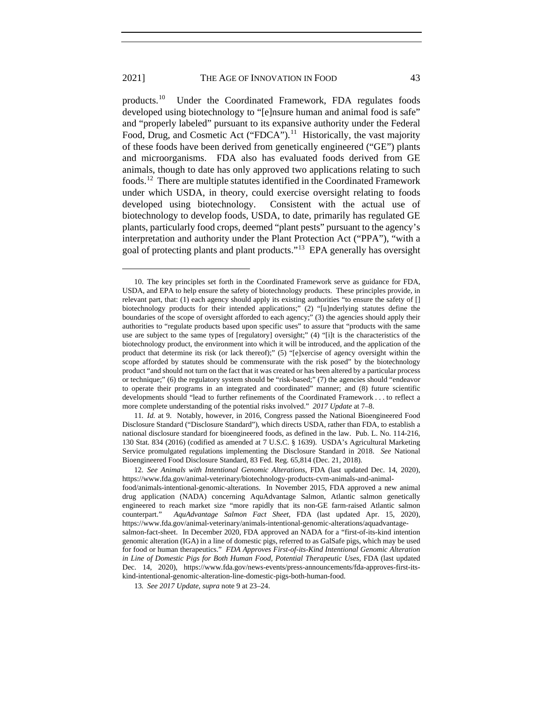products.[10](#page-3-0) Under the Coordinated Framework, FDA regulates foods developed using biotechnology to "[e]nsure human and animal food is safe" and "properly labeled" pursuant to its expansive authority under the Federal Food, Drug, and Cosmetic Act ("FDCA").<sup>11</sup> Historically, the vast majority of these foods have been derived from genetically engineered ("GE") plants and microorganisms. FDA also has evaluated foods derived from GE animals, though to date has only approved two applications relating to such foods.[12](#page-3-2) There are multiple statutes identified in the Coordinated Framework under which USDA, in theory, could exercise oversight relating to foods developed using biotechnology. Consistent with the actual use of biotechnology to develop foods, USDA, to date, primarily has regulated GE plants, particularly food crops, deemed "plant pests" pursuant to the agency's interpretation and authority under the Plant Protection Act ("PPA"), "with a goal of protecting plants and plant products."[13](#page-3-3) EPA generally has oversight

<span id="page-3-0"></span><sup>10.</sup> The key principles set forth in the Coordinated Framework serve as guidance for FDA, USDA, and EPA to help ensure the safety of biotechnology products. These principles provide, in relevant part, that: (1) each agency should apply its existing authorities "to ensure the safety of [] biotechnology products for their intended applications;" (2) "[u]nderlying statutes define the boundaries of the scope of oversight afforded to each agency;" (3) the agencies should apply their authorities to "regulate products based upon specific uses" to assure that "products with the same use are subject to the same types of [regulatory] oversight;" (4) "[i]t is the characteristics of the biotechnology product, the environment into which it will be introduced, and the application of the product that determine its risk (or lack thereof);" (5) "[e]xercise of agency oversight within the scope afforded by statutes should be commensurate with the risk posed" by the biotechnology product "and should not turn on the fact that it was created or has been altered by a particular process or technique;" (6) the regulatory system should be "risk-based;" (7) the agencies should "endeavor to operate their programs in an integrated and coordinated" manner; and (8) future scientific developments should "lead to further refinements of the Coordinated Framework . . . to reflect a more complete understanding of the potential risks involved." *2017 Update* at 7–8.

<span id="page-3-1"></span><sup>11</sup>*. Id.* at 9. Notably, however, in 2016, Congress passed the National Bioengineered Food Disclosure Standard ("Disclosure Standard"), which directs USDA, rather than FDA, to establish a national disclosure standard for bioengineered foods, as defined in the law. Pub. L. No. 114-216, 130 Stat. 834 (2016) (codified as amended at 7 U.S.C. § 1639). USDA's Agricultural Marketing Service promulgated regulations implementing the Disclosure Standard in 2018. *See* National Bioengineered Food Disclosure Standard, 83 Fed. Reg. 65,814 (Dec. 21, 2018).

<span id="page-3-2"></span><sup>12</sup>*. See Animals with Intentional Genomic Alterations*, FDA (last updated Dec. 14, 2020), https://www.fda.gov/animal-veterinary/biotechnology-products-cvm-animals-and-animal-

food/animals-intentional-genomic-alterations. In November 2015, FDA approved a new animal drug application (NADA) concerning AquAdvantage Salmon, Atlantic salmon genetically engineered to reach market size "more rapidly that its non-GE farm-raised Atlantic salmon counterpart." *AquAdvantage Salmon Fact Sheet*, FDA (last updated Apr. 15, 2020), https://www.fda.gov/animal-veterinary/animals-intentional-genomic-alterations/aquadvantagesalmon-fact-sheet. In December 2020, FDA approved an NADA for a "first-of-its-kind intention genomic alteration (IGA) in a line of domestic pigs, referred to as GalSafe pigs, which may be used for food or human therapeutics." *FDA Approves First-of-its-Kind Intentional Genomic Alteration in Line of Domestic Pigs for Both Human Food, Potential Therapeutic Uses*, FDA (last updated Dec. 14, 2020), https://www.fda.gov/news-events/press-announcements/fda-approves-first-itskind-intentional-genomic-alteration-line-domestic-pigs-both-human-food.

<span id="page-3-3"></span><sup>13</sup>*. See 2017 Update*, *supra* not[e 9](#page-2-6) at 23–24.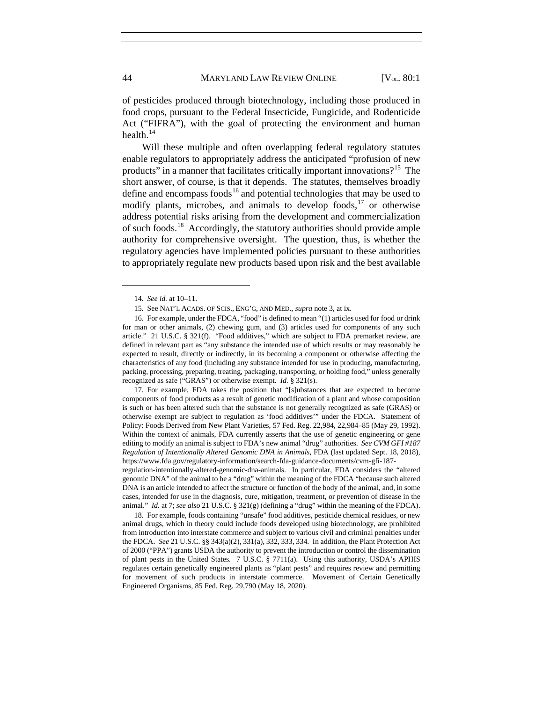of pesticides produced through biotechnology, including those produced in food crops, pursuant to the Federal Insecticide, Fungicide, and Rodenticide Act ("FIFRA"), with the goal of protecting the environment and human health.<sup>[14](#page-4-0)</sup>

Will these multiple and often overlapping federal regulatory statutes enable regulators to appropriately address the anticipated "profusion of new products" in a manner that facilitates critically important innovations?<sup>15</sup> The short answer, of course, is that it depends. The statutes, themselves broadly define and encompass foods<sup>[16](#page-4-2)</sup> and potential technologies that may be used to modify plants, microbes, and animals to develop foods, $17$  or otherwise address potential risks arising from the development and commercialization of such foods.[18](#page-4-4) Accordingly, the statutory authorities should provide ample authority for comprehensive oversight. The question, thus, is whether the regulatory agencies have implemented policies pursuant to these authorities to appropriately regulate new products based upon risk and the best available

 $\overline{a}$ 

<span id="page-4-3"></span>17. For example, FDA takes the position that "[s]ubstances that are expected to become components of food products as a result of genetic modification of a plant and whose composition is such or has been altered such that the substance is not generally recognized as safe (GRAS) or otherwise exempt are subject to regulation as 'food additives'" under the FDCA. Statement of Policy: Foods Derived from New Plant Varieties, 57 Fed. Reg. 22,984, 22,984–85 (May 29, 1992). Within the context of animals, FDA currently asserts that the use of genetic engineering or gene editing to modify an animal is subject to FDA's new animal "drug" authorities. *See CVM GFI #187 Regulation of Intentionally Altered Genomic DNA in Animals*, FDA (last updated Sept. 18, 2018), https://www.fda.gov/regulatory-information/search-fda-guidance-documents/cvm-gfi-187 regulation-intentionally-altered-genomic-dna-animals. In particular, FDA considers the "altered genomic DNA" of the animal to be a "drug" within the meaning of the FDCA "because such altered

DNA is an article intended to affect the structure or function of the body of the animal, and, in some cases, intended for use in the diagnosis, cure, mitigation, treatment, or prevention of disease in the animal." *Id.* at 7; *see also* 21 U.S.C. § 321(g) (defining a "drug" within the meaning of the FDCA).

<span id="page-4-4"></span>18. For example, foods containing "unsafe" food additives, pesticide chemical residues, or new animal drugs, which in theory could include foods developed using biotechnology, are prohibited from introduction into interstate commerce and subject to various civil and criminal penalties under the FDCA. *See* 21 U.S.C. §§ 343(a)(2), 331(a), 332, 333, 334. In addition, the Plant Protection Act of 2000 ("PPA") grants USDA the authority to prevent the introduction or control the dissemination of plant pests in the United States. 7 U.S.C. § 7711(a). Using this authority, USDA's APHIS regulates certain genetically engineered plants as "plant pests" and requires review and permitting for movement of such products in interstate commerce. Movement of Certain Genetically Engineered Organisms, 85 Fed. Reg. 29,790 (May 18, 2020).

<sup>14</sup>*. See id.* at 10–11.

<sup>15.</sup> See NAT'L ACADS. OF SCIS., ENG'G, AND MED., *supra* not[e 3,](#page-1-4) at ix.

<span id="page-4-2"></span><span id="page-4-1"></span><span id="page-4-0"></span><sup>16.</sup> For example, under the FDCA, "food" is defined to mean "(1) articles used for food or drink for man or other animals, (2) chewing gum, and (3) articles used for components of any such article." 21 U.S.C. § 321(f). "Food additives," which are subject to FDA premarket review, are defined in relevant part as "any substance the intended use of which results or may reasonably be expected to result, directly or indirectly, in its becoming a component or otherwise affecting the characteristics of any food (including any substance intended for use in producing, manufacturing, packing, processing, preparing, treating, packaging, transporting, or holding food," unless generally recognized as safe ("GRAS") or otherwise exempt. *Id.* § 321(s).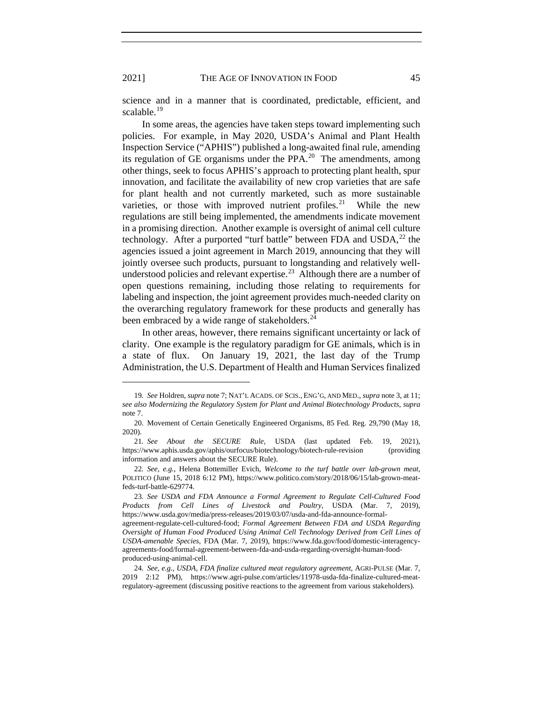science and in a manner that is coordinated, predictable, efficient, and scalable. $19$ 

In some areas, the agencies have taken steps toward implementing such policies. For example, in May 2020, USDA's Animal and Plant Health Inspection Service ("APHIS") published a long-awaited final rule, amending its regulation of GE organisms under the PPA. $^{20}$  $^{20}$  $^{20}$  The amendments, among other things, seek to focus APHIS's approach to protecting plant health, spur innovation, and facilitate the availability of new crop varieties that are safe for plant health and not currently marketed, such as more sustainable varieties, or those with improved nutrient profiles.<sup>[21](#page-5-2)</sup> While the new regulations are still being implemented, the amendments indicate movement in a promising direction. Another example is oversight of animal cell culture technology. After a purported "turf battle" between FDA and  $\text{USDA}^{22}$  $\text{USDA}^{22}$  $\text{USDA}^{22}$  the agencies issued a joint agreement in March 2019, announcing that they will jointly oversee such products, pursuant to longstanding and relatively well-understood policies and relevant expertise.<sup>[23](#page-5-4)</sup> Although there are a number of open questions remaining, including those relating to requirements for labeling and inspection, the joint agreement provides much-needed clarity on the overarching regulatory framework for these products and generally has been embraced by a wide range of stakeholders.<sup>24</sup>

In other areas, however, there remains significant uncertainty or lack of clarity. One example is the regulatory paradigm for GE animals, which is in a state of flux. On January 19, 2021, the last day of the Trump Administration, the U.S. Department of Health and Human Services finalized

<span id="page-5-0"></span><sup>19</sup>*. See* Holdren, *supra* not[e 7;](#page-2-7) NAT'L ACADS. OF SCIS., ENG'G, AND MED., *supra* note [3,](#page-1-4) at 11; *see also Modernizing the Regulatory System for Plant and Animal Biotechnology Products*, *supra*  note [7.](#page-2-7)

<span id="page-5-1"></span><sup>20.</sup> Movement of Certain Genetically Engineered Organisms, 85 Fed. Reg. 29,790 (May 18, 2020).

<span id="page-5-2"></span><sup>21</sup>*. See About the SECURE Rule*, USDA (last updated Feb. 19, 2021), https://www.aphis.usda.gov/aphis/ourfocus/biotechnology/biotech-rule-revision (providing information and answers about the SECURE Rule).

<span id="page-5-3"></span><sup>22</sup>*. See, e.g.*, Helena Bottemiller Evich, *Welcome to the turf battle over lab-grown meat*, POLITICO (June 15, 2018 6:12 PM), https://www.politico.com/story/2018/06/15/lab-grown-meatfeds-turf-battle-629774.

<span id="page-5-4"></span><sup>23</sup>*. See USDA and FDA Announce a Formal Agreement to Regulate Cell-Cultured Food Products from Cell Lines of Livestock and Poultry*, USDA (Mar. 7, 2019), https://www.usda.gov/media/press-releases/2019/03/07/usda-and-fda-announce-formal-

agreement-regulate-cell-cultured-food; *Formal Agreement Between FDA and USDA Regarding Oversight of Human Food Produced Using Animal Cell Technology Derived from Cell Lines of USDA-amenable Species*, FDA (Mar. 7, 2019), https://www.fda.gov/food/domestic-interagencyagreements-food/formal-agreement-between-fda-and-usda-regarding-oversight-human-foodproduced-using-animal-cell.

<span id="page-5-5"></span><sup>24</sup>*. See, e.g.*, *USDA, FDA finalize cultured meat regulatory agreement*, AGRI-PULSE (Mar. 7, 2019 2:12 PM), https://www.agri-pulse.com/articles/11978-usda-fda-finalize-cultured-meatregulatory-agreement (discussing positive reactions to the agreement from various stakeholders).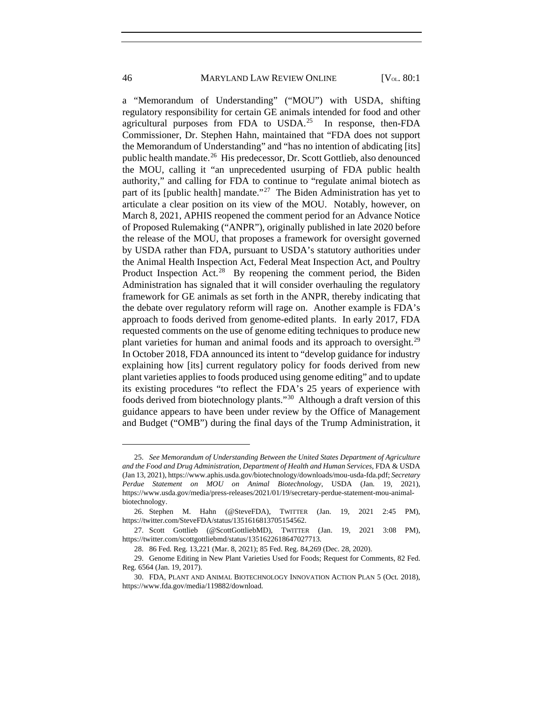a "Memorandum of Understanding" ("MOU") with USDA, shifting regulatory responsibility for certain GE animals intended for food and other agricultural purposes from FDA to  $USDA<sup>25</sup>$  In response, then-FDA Commissioner, Dr. Stephen Hahn, maintained that "FDA does not support the Memorandum of Understanding" and "has no intention of abdicating [its] public health mandate.[26](#page-6-1) His predecessor, Dr. Scott Gottlieb, also denounced the MOU, calling it "an unprecedented usurping of FDA public health authority," and calling for FDA to continue to "regulate animal biotech as part of its [public health] mandate."<sup>27</sup> The Biden Administration has yet to articulate a clear position on its view of the MOU. Notably, however, on March 8, 2021, APHIS reopened the comment period for an Advance Notice of Proposed Rulemaking ("ANPR"), originally published in late 2020 before the release of the MOU, that proposes a framework for oversight governed by USDA rather than FDA, pursuant to USDA's statutory authorities under the Animal Health Inspection Act, Federal Meat Inspection Act, and Poultry Product Inspection Act. $28$  By reopening the comment period, the Biden Administration has signaled that it will consider overhauling the regulatory framework for GE animals as set forth in the ANPR, thereby indicating that the debate over regulatory reform will rage on. Another example is FDA's approach to foods derived from genome-edited plants. In early 2017, FDA requested comments on the use of genome editing techniques to produce new plant varieties for human and animal foods and its approach to oversight.<sup>[29](#page-6-4)</sup> In October 2018, FDA announced its intent to "develop guidance for industry explaining how [its] current regulatory policy for foods derived from new plant varieties applies to foods produced using genome editing" and to update its existing procedures "to reflect the FDA's 25 years of experience with foods derived from biotechnology plants."[30](#page-6-5) Although a draft version of this guidance appears to have been under review by the Office of Management and Budget ("OMB") during the final days of the Trump Administration, it

<span id="page-6-0"></span><sup>25.</sup> *See Memorandum of Understanding Between the United States Department of Agriculture and the Food and Drug Administration, Department of Health and Human Services*, FDA & USDA (Jan 13, 2021), https://www.aphis.usda.gov/biotechnology/downloads/mou-usda-fda.pdf; *Secretary Perdue Statement on MOU on Animal Biotechnology*, USDA (Jan. 19, 2021), https://www.usda.gov/media/press-releases/2021/01/19/secretary-perdue-statement-mou-animalbiotechnology.

<span id="page-6-1"></span><sup>26.</sup> Stephen M. Hahn (@SteveFDA), TWITTER (Jan. 19, 2021 2:45 PM), https://twitter.com/SteveFDA/status/1351616813705154562.

<span id="page-6-2"></span><sup>27.</sup> Scott Gottlieb (@ScottGottliebMD), TWITTER (Jan. 19, 2021 3:08 PM), https://twitter.com/scottgottliebmd/status/1351622618647027713.

<sup>28.</sup> 86 Fed. Reg. 13,221 (Mar. 8, 2021); 85 Fed. Reg. 84,269 (Dec. 28, 2020).

<span id="page-6-4"></span><span id="page-6-3"></span><sup>29.</sup> Genome Editing in New Plant Varieties Used for Foods; Request for Comments, 82 Fed. Reg. 6564 (Jan. 19, 2017).

<span id="page-6-5"></span><sup>30.</sup> FDA, PLANT AND ANIMAL BIOTECHNOLOGY INNOVATION ACTION PLAN 5 (Oct. 2018), https://www.fda.gov/media/119882/download.